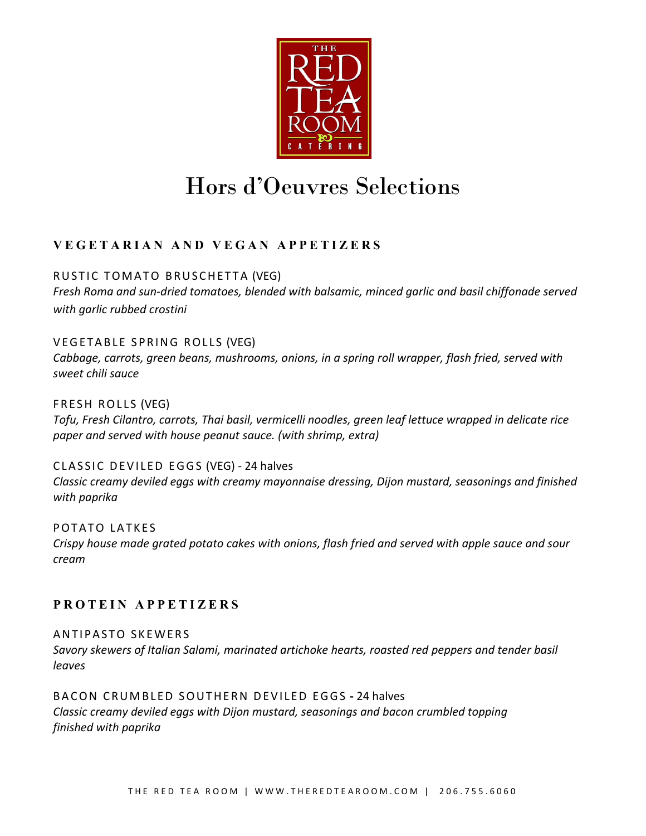

# Hors d'Oeuvres Selections

# **VEGETARIAN AND VEGAN APPETIZERS**

RUSTIC TOMATO BRUSCHETTA (VEG)

*Fresh Roma and sun-dried tomatoes, blended with balsamic, minced garlic and basil chiffonade served with garlic rubbed crostini*

VEGETABLE SPRING ROLLS (VEG)

*Cabbage, carrots, green beans, mushrooms, onions, in a spring roll wrapper, flash fried, served with sweet chili sauce*

FRESH ROLLS (VEG) *Tofu, Fresh Cilantro, carrots, Thai basil, vermicelli noodles, green leaf lettuce wrapped in delicate rice paper and served with house peanut sauce. (with shrimp, extra)*

CLASSIC DEVILED EGGS (VEG) - 24 halves *Classic creamy deviled eggs with creamy mayonnaise dressing, Dijon mustard, seasonings and finished with paprika*

POTATO LATKES *Crispy house made grated potato cakes with onions, flash fried and served with apple sauce and sour cream*

# **PROTEIN APPETIZERS**

ANTIPASTO SKEWERS *Savory skewers of Italian Salami, marinated artichoke hearts, roasted red peppers and tender basil leaves*

BACON CRUMBLED SOUTHERN DEVILED EGGS **-** 24 halves *Classic creamy deviled eggs with Dijon mustard, seasonings and bacon crumbled topping finished with paprika*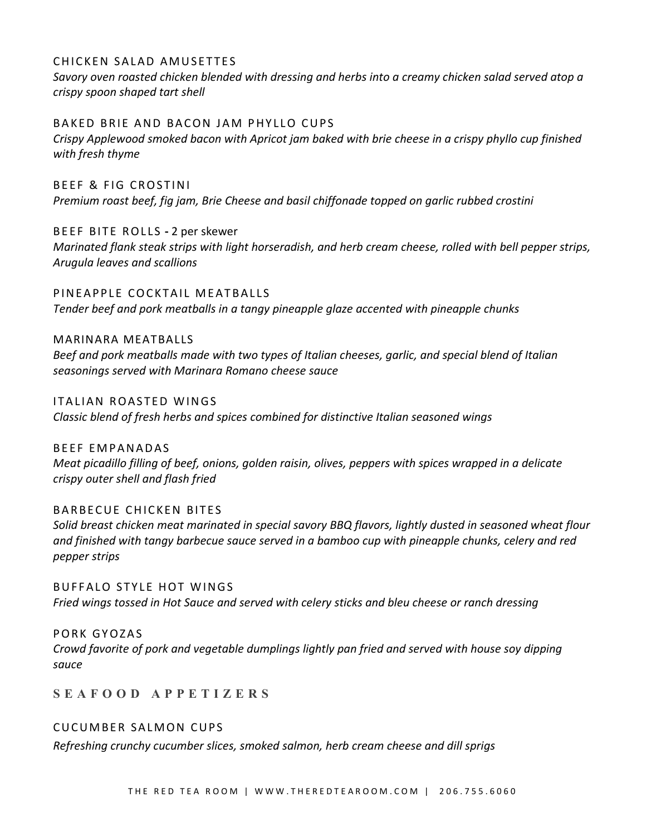#### CHICKEN SALAD AMUSETTES

*Savory oven roasted chicken blended with dressing and herbs into a creamy chicken salad served atop a crispy spoon shaped tart shell*

B AKED BRIE AND BACON JAM PHYLLO CUPS *Crispy Applewood smoked bacon with Apricot jam baked with brie cheese in a crispy phyllo cup finished with fresh thyme*

BEEF & FIG CROSTINI *Premium roast beef, fig jam, Brie Cheese and basil chiffonade topped on garlic rubbed crostini*

BEEF BITE ROLLS **-** 2 per skewer

*Marinated flank steak strips with light horseradish, and herb cream cheese, rolled with bell pepper strips, Arugula leaves and scallions*

PINEAPPLE COCKTAIL MEATBALLS *Tender beef and pork meatballs in a tangy pineapple glaze accented with pineapple chunks*

#### MARINARA MEATBALLS

*Beef and pork meatballs made with two types of Italian cheeses, garlic, and special blend of Italian seasonings served with Marinara Romano cheese sauce*

ITALIAN ROASTED WINGS *Classic blend of fresh herbs and spices combined for distinctive Italian seasoned wings*

BEEF EMPANADAS *Meat picadillo filling of beef, onions, golden raisin, olives, peppers with spices wrapped in a delicate crispy outer shell and flash fried*

#### BARBECUE CHICKEN BITES

*Solid breast chicken meat marinated in special savory BBQ flavors, lightly dusted in seasoned wheat flour and finished with tangy barbecue sauce served in a bamboo cup with pineapple chunks, celery and red pepper strips*

BUFFALO STYLE HOT WINGS *Fried wings tossed in Hot Sauce and served with celery sticks and bleu cheese or ranch dressing*

PORK GYOZAS

*Crowd favorite of pork and vegetable dumplings lightly pan fried and served with house soy dipping sauce*

**SEAFOOD APPETIZERS**

#### CUCUMBER SALMON CUPS

*Refreshing crunchy cucumber slices, smoked salmon, herb cream cheese and dill sprigs*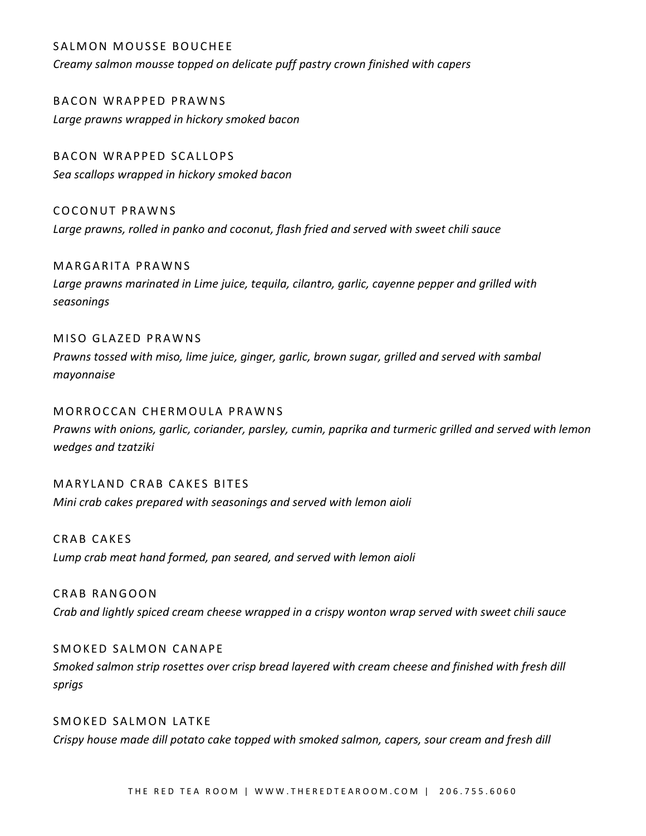## SALMON MOUSSE BOUCHEE

*Creamy salmon mousse topped on delicate puff pastry crown finished with capers*

BACON WRAPPED PRAWNS *Large prawns wrapped in hickory smoked bacon*

BACON WRAPPED SCALLOPS *Sea scallops wrapped in hickory smoked bacon*

COCONUT PRAWNS *Large prawns, rolled in panko and coconut, flash fried and served with sweet chili sauce* 

MARGARITA PRAWNS *Large prawns marinated in Lime juice, tequila, cilantro, garlic, cayenne pepper and grilled with seasonings*

# MISO GLAZED PRAWNS

*Prawns tossed with miso, lime juice, ginger, garlic, brown sugar, grilled and served with sambal mayonnaise*

MORROCCAN CHERMOULA PRAWNS

*Prawns with onions, garlic, coriander, parsley, cumin, paprika and turmeric grilled and served with lemon wedges and tzatziki*

MARYLAND CRAB CAKES BITES *Mini crab cakes prepared with seasonings and served with lemon aioli*

CRAB CAKES *Lump crab meat hand formed, pan seared, and served with lemon aioli*

CRAB RANGOON *Crab and lightly spiced cream cheese wrapped in a crispy wonton wrap served with sweet chili sauce*

SMOKED SALMON CANAPE *Smoked salmon strip rosettes over crisp bread layered with cream cheese and finished with fresh dill sprigs* 

SMOKED SALMON LATKE *Crispy house made dill potato cake topped with smoked salmon, capers, sour cream and fresh dill*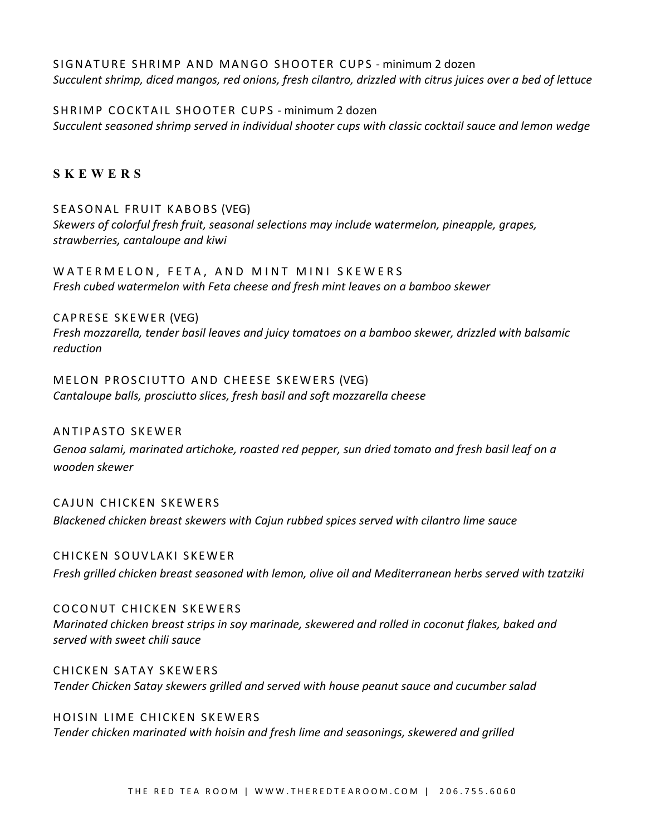SIGNATURE SHRIMP AND MANGO SHOOTER CUPS - minimum 2 dozen *Succulent shrimp, diced mangos, red onions, fresh cilantro, drizzled with citrus juices over a bed of lettuce*

SHRIMP COCKTAIL SHOOTER CUPS - minimum 2 dozen *Succulent seasoned shrimp served in individual shooter cups with classic cocktail sauce and lemon wedge*

# **SKEWERS**

### SEASONAL FRUIT KABOBS (VEG)

*Skewers of colorful fresh fruit, seasonal selections may include watermelon, pineapple, grapes, strawberries, cantaloupe and kiwi*

WATERMELON, FETA, AND MINT MINI SKEWERS *Fresh cubed watermelon with Feta cheese and fresh mint leaves on a bamboo skewer*

CAPRESE SKEWER (VEG) *Fresh mozzarella, tender basil leaves and juicy tomatoes on a bamboo skewer, drizzled with balsamic reduction*

MELON PROSCIUTTO AND CHEESE SKEWERS (VEG) *Cantaloupe balls, prosciutto slices, fresh basil and soft mozzarella cheese*

ANTIPASTO SKEWER *Genoa salami, marinated artichoke, roasted red pepper, sun dried tomato and fresh basil leaf on a wooden skewer*

CAJUN CHICKEN SKEWERS *Blackened chicken breast skewers with Cajun rubbed spices served with cilantro lime sauce*

CHICKEN SOUVLAKI SKEWER *Fresh grilled chicken breast seasoned with lemon, olive oil and Mediterranean herbs served with tzatziki*

COCONUT CHICKEN SKEWERS *Marinated chicken breast strips in soy marinade, skewered and rolled in coconut flakes, baked and served with sweet chili sauce*

CHICKEN SATAY SKEWERS *Tender Chicken Satay skewers grilled and served with house peanut sauce and cucumber salad*

HOISIN LIME CHICKEN SKEWERS *Tender chicken marinated with hoisin and fresh lime and seasonings, skewered and grilled*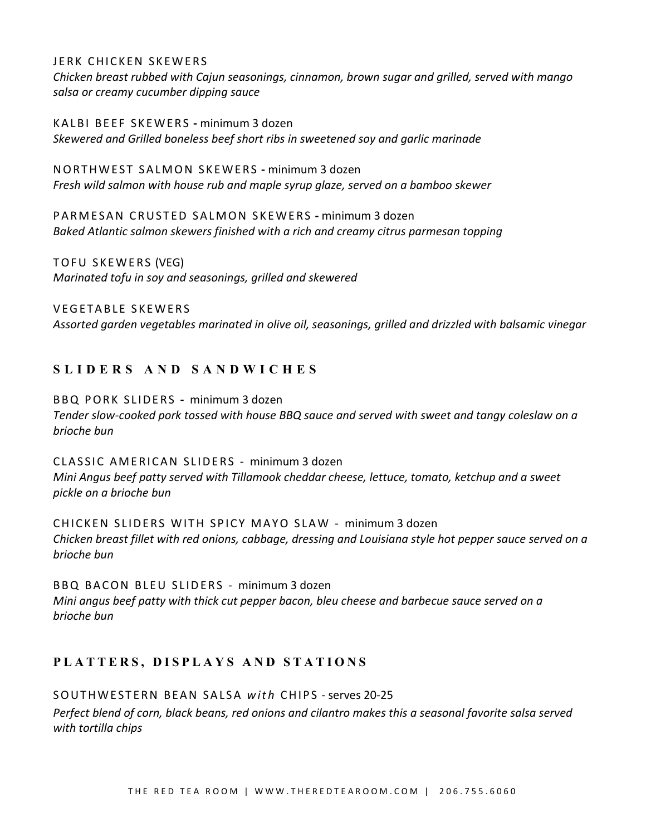#### JERK CHICKEN SKEWERS

*Chicken breast rubbed with Cajun seasonings, cinnamon, brown sugar and grilled, served with mango salsa or creamy cucumber dipping sauce*

KALBI BEEF SKEWERS **-** minimum 3 dozen *Skewered and Grilled boneless beef short ribs in sweetened soy and garlic marinade*

NORTHWEST SALMON SKEWERS **-** minimum 3 dozen *Fresh wild salmon with house rub and maple syrup glaze, served on a bamboo skewer*

PARMESAN CRUSTED SALMON SKEWERS **-** minimum 3 dozen *Baked Atlantic salmon skewers finished with a rich and creamy citrus parmesan topping*

TOFU SKEWERS (VEG) *Marinated tofu in soy and seasonings, grilled and skewered* 

VEGETABLE SKEWERS *Assorted garden vegetables marinated in olive oil, seasonings, grilled and drizzled with balsamic vinegar*

# **SLIDERS AND SANDWICH E S**

BBQ PORK SLIDERS **-** minimum 3 dozen *Tender slow-cooked pork tossed with house BBQ sauce and served with sweet and tangy coleslaw on a brioche bun*

CLASSIC AMERICAN SLIDERS - minimum 3 dozen *Mini Angus beef patty served with Tillamook cheddar cheese, lettuce, tomato, ketchup and a sweet pickle on a brioche bun*

CHICKEN SLIDERS WITH SPICY MAYO SLAW - minimum 3 dozen *Chicken breast fillet with red onions, cabbage, dressing and Louisiana style hot pepper sauce served on a brioche bun*

BBQ BACON BLEU SLIDERS - minimum 3 dozen *Mini angus beef patty with thick cut pepper bacon, bleu cheese and barbecue sauce served on a brioche bun*

## **PLATTERS , DISPLAYS AND STATIO N S**

SOUTHWESTERN BEAN SALSA *with* CHIPS - serves 20-25 *Perfect blend of corn, black beans, red onions and cilantro makes this a seasonal favorite salsa served with tortilla chips*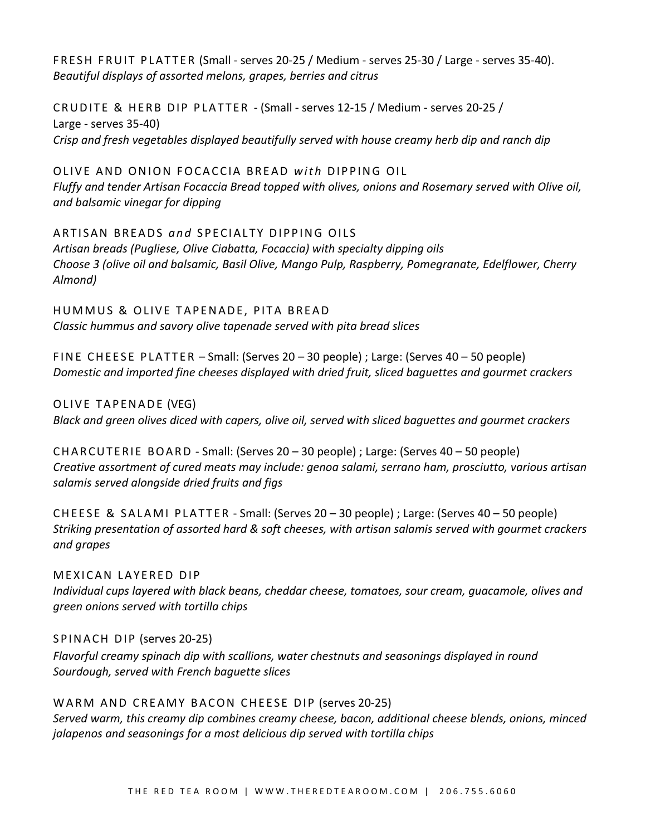FRESH FRUIT PLATTER (Small - serves 20-25 / Medium - serves 25-30 / Large - serves 35-40). *Beautiful displays of assorted melons, grapes, berries and citrus* 

CRUDITE & HERB DIP PLATTER - (Small - serves 12-15 / Medium - serves 20-25 / Large - serves 35-40) *Crisp and fresh vegetables displayed beautifully served with house creamy herb dip and ranch dip* 

OLIVE AND ONION FOCACCIA BREAD *with* DIPPING OIL *Fluffy and tender Artisan Focaccia Bread topped with olives, onions and Rosemary served with Olive oil, and balsamic vinegar for dipping*

ARTISAN BREADS *and* SPECIALTY DIPPING OILS *Artisan breads (Pugliese, Olive Ciabatta, Focaccia) with specialty dipping oils Choose 3 (olive oil and balsamic, Basil Olive, Mango Pulp, Raspberry, Pomegranate, Edelflower, Cherry Almond)*

HUMMUS & OLIVE TAPENADE, PITA BREAD *Classic hummus and savory olive tapenade served with pita bread slices*

FINE CHEESE PLATTER – Small: (Serves 20 – 30 people) ; Large: (Serves 40 – 50 people) *Domestic and imported fine cheeses displayed with dried fruit, sliced baguettes and gourmet crackers*

OLIVE TAPENADE (VEG)

*Black and green olives diced with capers, olive oil, served with sliced baguettes and gourmet crackers*

CHARCUTERIE BOARD - Small: (Serves 20 – 30 people) ; Large: (Serves 40 – 50 people) *Creative assortment of cured meats may include: genoa salami, serrano ham, prosciutto, various artisan salamis served alongside dried fruits and figs*

CHEESE & SALAMI PLATTER - Small: (Serves  $20 - 30$  people) ; Large: (Serves  $40 - 50$  people) *Striking presentation of assorted hard & soft cheeses, with artisan salamis served with gourmet crackers and grapes*

MEXICAN LAYERED DIP

*Individual cups layered with black beans, cheddar cheese, tomatoes, sour cream, guacamole, olives and green onions served with tortilla chips*

SPINACH DIP (serves 20-25)

*Flavorful creamy spinach dip with scallions, water chestnuts and seasonings displayed in round Sourdough, served with French baguette slices*

WARM AND CREAMY BACON CHEESE DIP (serves 20-25)

*Served warm, this creamy dip combines creamy cheese, bacon, additional cheese blends, onions, minced jalapenos and seasonings for a most delicious dip served with tortilla chips*